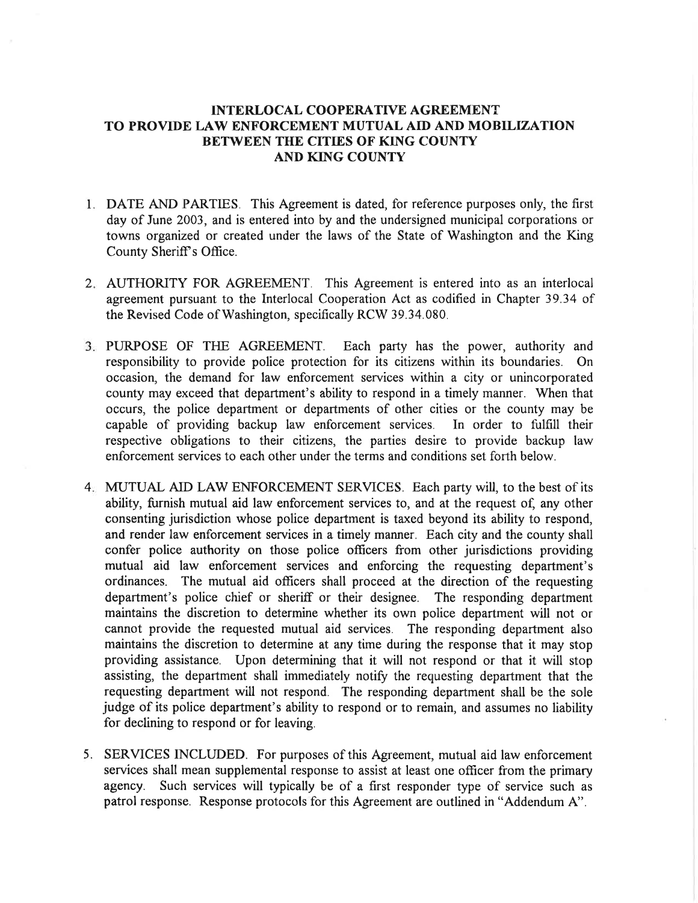## TNTERLOCAL COOPERATTVE AGREEMENT TO PROVIDE LAW ENFORCEMENT MUTUAL AID AND MOBILIZATION BETWEEN THE CITIES OF KING COUNTY AND KING COUNTY

- l. DATE AND PARTIES. This Agreement is dated, for reference purposes only, the first day of June 2003, and is entered into by and the undersigned municipal corporations or towns organized or created under the laws of the State of Washington and the King County Sheriff's Office.
- 2. AUTHORITY FOR AGREEMENT. This Agreement is entered into as an interlocal agreement pursuant to the Interlocal Cooperation Act as codifìed in Chapter 39.34 of the Revised Code of Washington, specifically RCW 39.34.080.
- PURPOSE OF THE AGREEMENT. Each party has the power, authority and responsibility to provide police protection for its citizens within its boundaries. On occasion, the demand for law enforcement services within a city or unincorporated county may exceed that department's ability to respond in a timely manner. When that occurs, the police department or departments of other cities or the county may be capable of providing backup law enforcement services. In order to fulfill their capable of providing backup law enforcement services. respective obligations to their citizens, the parties desire to provide backup law enforcement services to each other under the terms and conditions set forth below.
- MUTUAL AID LAW ENFORCEMENT SERVICES. Each party will, to the best of its 4 ability, furnish mutual aid law enforcement services to, and at the request of, any other consenting jurisdiction whose police department is taxed beyond its ability to respond, and render law enforcement services in a timely manner. Each city and the county shall confer police authority on those police officers from other jurisdictions providing mutual aid law enforcement services and enforcing the requesting department's ordinances. The mutual aid ofücers shall proceed at the direction of the requesting department's police chief or sheriff or their designee. The responding department maintains the discretion to determine whether its own police department will not or cannot provide the requested mutual aid services. The responding department also maintains the discretion to determine at any time during the response that it may stop providing assistance. Upon determining that it will not respond or that it will stop assisting, the department shall immediately notify the requesting department that the requesting department will not respond. The responding department shall be the sole judge of its police department's ability to respond or to remain, and assumes no liability for declining to respond or for leaving.
- SERVICES INCLUDED. For purposes of this Agreement, mutual aid law enforcement 5.services shall mean supplemental response to assist at least one officer from the primary agency. Such services will typically be of a first responder type of service such as patrol response. Response protocols for this Agreement are outlined in "Addendum 4".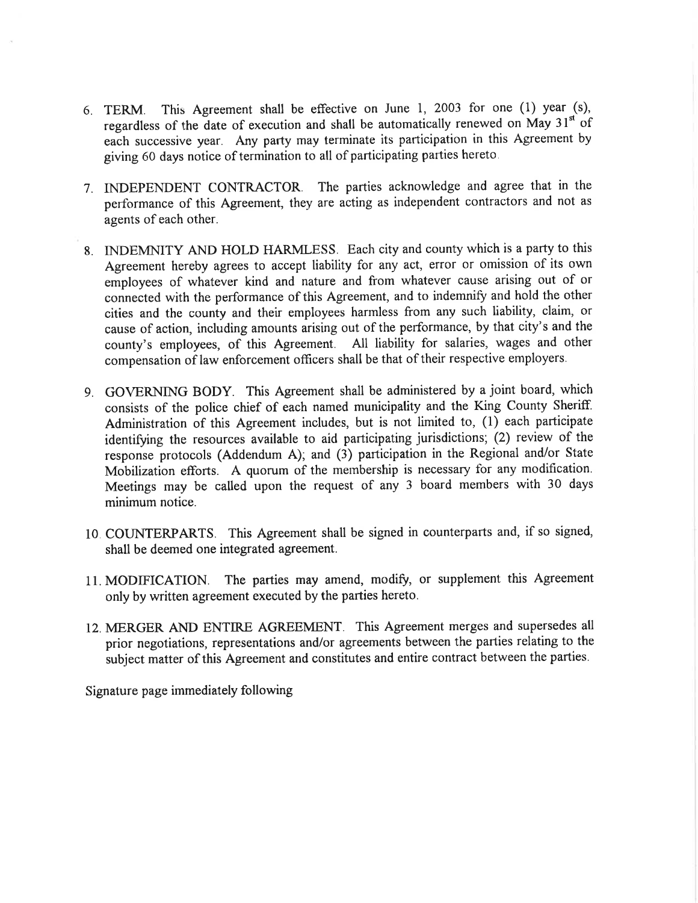- 6. TERM. This Agreement shall be effective on June l, 2003 for one (1) year (s), regardless of the date of execution and shall be automatically renewed on May  $31<sup>st</sup>$  of each successive year. Any party may terminate its participation in this Agreement by giving 60 days notice of termination to all of participating parties hereto.
- 7. INDEPENDENT CONTRACTOR. The parties acknowledge and agree that in the performance of this Agreement, they are acting as independent contractors and not as agents of each other.
- 8. INDEMNITY AND HOLD HARMLESS. Each city and county which is a party to this Agreement hereby agrees to accept liability for any act, error or omission of its own employees of whatever kind and nature and from whatever cause arising out of or connected with the performance of this Agreement, and to indemnify and hold the other cities and the county and their employees harmless from any such liability, claim, or cause of action, including amounts arising out of the performance, by that city's and the county's employees, of this Agreement. All liability for salaries, wages and other compensation of law enforcement offìcers shall be that of their respective employers.
- 9. GOVERNING BODY. This Agreement shall be administered by a joint board, which consists of the police chief of each named municipality and the King County Sheriff. Administration of this Agreement includes, but is not limited to, (1) each participate identifying the resources available to aid participating jurisdictions; (2) review of the response protocols (Addendum A); and (3) participation in the Regional and/or State Mobilization efforts. A quorum of the membership is necessary for any modification. Meetings may be called upon the request of any 3 board members with 30 days minimum notice.
- 10. COLTNTERPARTS. This Agreement shall be signed in counterparts and, if so signed, shall be deemed one integrated agreement.
- 11. MODIFICATION. The parties may amend, modify, or supplement this Agreement only by written agreement executed by the parties hereto.
- 12. MERGER AND ENTIRE AGREEMENT. This Agreement merges and supersedes all prior negotiations, representations and/or agreements between the parties relating to the subject matter of this Agreement and constitutes and entire contract between the parties.

Signature page immediately following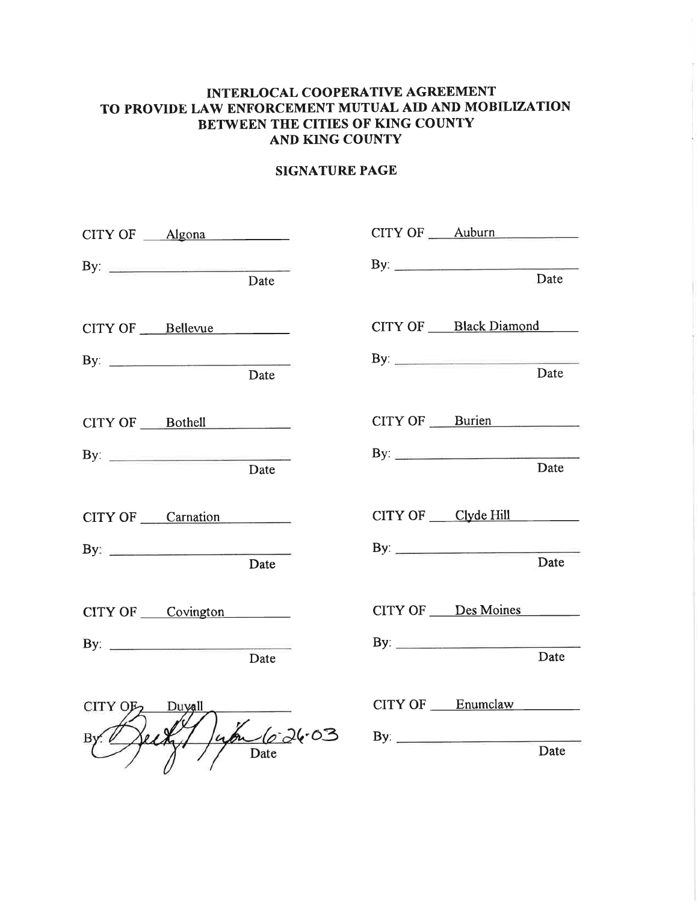## INTERLOCAL COOPERATIVE AGREEMENT TO PROVIDE LAW ENFORCEMENT MUTUAL AID AND MOBILIZATION BETWEEN THE CITIES OF KING COUNTY AND KING COUNTY

## SIGNATURE PAGE

|                             | CITY OF Algona      |             | CITY OF Auburn                               |      |
|-----------------------------|---------------------|-------------|----------------------------------------------|------|
|                             | By: $\qquad \qquad$ | Date        | By: $\qquad \qquad$                          | Date |
|                             | CITY OF Bellevue    |             | CITY OF Black Diamond<br>By: $\qquad \qquad$ |      |
|                             | By: $\qquad \qquad$ | Date        |                                              | Date |
|                             | CITY OF Bothell     |             | CITY OF Burien                               |      |
|                             | By: $\qquad \qquad$ | Date        | By: $\frac{1}{2}$                            | Date |
|                             | CITY OF Carnation   |             | CITY OF Clyde Hill                           |      |
|                             | By: $\qquad \qquad$ | Date        |                                              | Date |
|                             | CITY OF Covington   |             | CITY OF Des Moines                           |      |
|                             | By: $\qquad \qquad$ | Date        | By: $\qquad \qquad$                          | Date |
| CITY OF <sub>2</sub> Duyall |                     |             | CITY OF Enumclaw                             |      |
|                             |                     | um 10:26.03 |                                              |      |
|                             |                     | Date        |                                              | Date |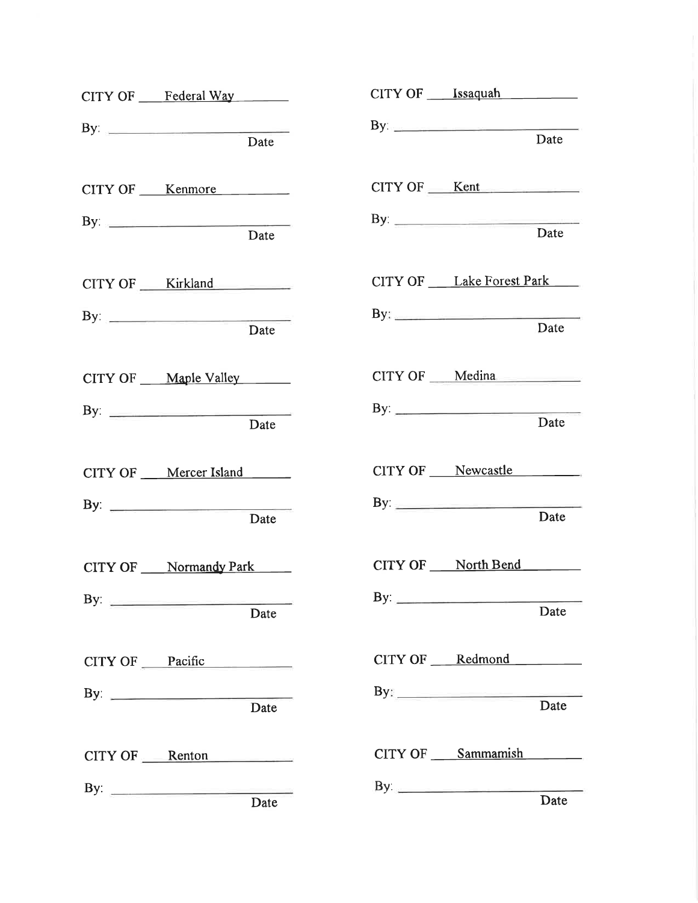| CITY OF Federal Way                 | CITY OF ____ Issaquah                                                                                                                                                |      |
|-------------------------------------|----------------------------------------------------------------------------------------------------------------------------------------------------------------------|------|
| By: <u>Date</u>                     | $\mathbf{B} \mathbf{y}$                                                                                                                                              | Date |
| CITY OF ____ Kenmore                | $CITY OF$ Kent                                                                                                                                                       |      |
| By: $\qquad \qquad$<br>Date         |                                                                                                                                                                      | Date |
| CITY OF Kirkland                    | CITY OF Lake Forest Park                                                                                                                                             |      |
| By: $\qquad \qquad$<br>Date         | By: $\qquad \qquad$                                                                                                                                                  | Date |
| CITY OF Maple Valley                | CITY OF ___ Medina                                                                                                                                                   |      |
| By: $\frac{1}{\sqrt{2\pi}}$<br>Date | By: $\qquad \qquad$                                                                                                                                                  | Date |
| CITY OF ____ Mercer Island          | CITY OF Newcastle                                                                                                                                                    |      |
| By: $\qquad \qquad$<br>Date         | By: $\qquad \qquad$                                                                                                                                                  | Date |
| CITY OF ____ Normandy Park          | CITY OF North Bend                                                                                                                                                   |      |
| By: $\qquad \qquad$<br>Date         | By: $\qquad \qquad$                                                                                                                                                  | Date |
| CITY OF Pacific                     | CITY OF ____ Redmond                                                                                                                                                 |      |
| By: $\qquad \qquad$<br>Date         | $\begin{tabular}{c} By: \begin{tabular}{ c c c c } \hline \quad \quad & \quad \quad & \quad \quad & \quad \quad & \quad \quad \\ \hline \end{tabular} \end{tabular}$ |      |
| $CITY OF$ Renton                    | CITY OF Sammamish                                                                                                                                                    |      |
| Date                                |                                                                                                                                                                      | Date |